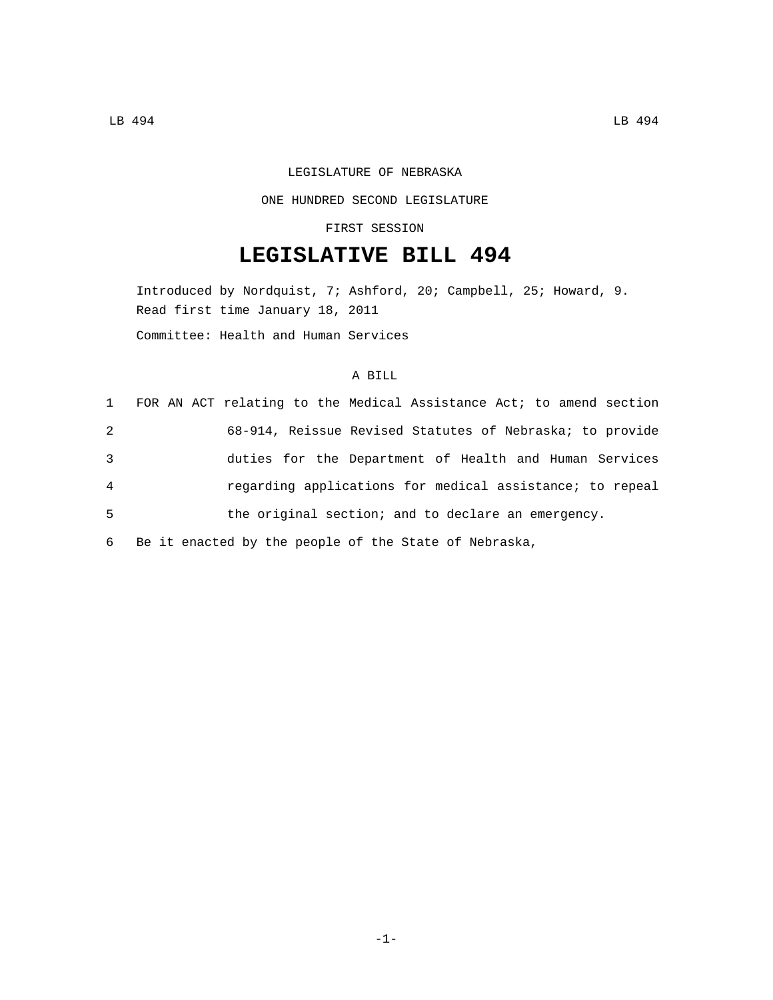# LEGISLATURE OF NEBRASKA

### ONE HUNDRED SECOND LEGISLATURE

### FIRST SESSION

# **LEGISLATIVE BILL 494**

Introduced by Nordquist, 7; Ashford, 20; Campbell, 25; Howard, 9. Read first time January 18, 2011 Committee: Health and Human Services

# A BILL

|                | 1 FOR AN ACT relating to the Medical Assistance Act; to amend section |
|----------------|-----------------------------------------------------------------------|
| 2              | 68-914, Reissue Revised Statutes of Nebraska; to provide              |
| 3              | duties for the Department of Health and Human Services                |
| $\overline{4}$ | regarding applications for medical assistance; to repeal              |
| 5              | the original section; and to declare an emergency.                    |
| 6              | Be it enacted by the people of the State of Nebraska,                 |

-1-